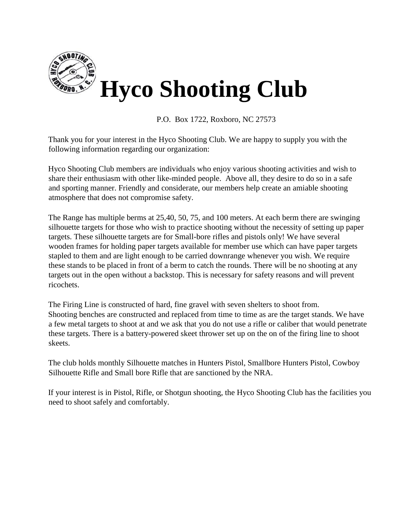

P.O. Box 1722, Roxboro, NC 27573

Thank you for your interest in the Hyco Shooting Club. We are happy to supply you with the following information regarding our organization:

Hyco Shooting Club members are individuals who enjoy various shooting activities and wish to share their enthusiasm with other like-minded people. Above all, they desire to do so in a safe and sporting manner. Friendly and considerate, our members help create an amiable shooting atmosphere that does not compromise safety.

The Range has multiple berms at 25,40, 50, 75, and 100 meters. At each berm there are swinging silhouette targets for those who wish to practice shooting without the necessity of setting up paper targets. These silhouette targets are for Small-bore rifles and pistols only! We have several wooden frames for holding paper targets available for member use which can have paper targets stapled to them and are light enough to be carried downrange whenever you wish. We require these stands to be placed in front of a berm to catch the rounds. There will be no shooting at any targets out in the open without a backstop. This is necessary for safety reasons and will prevent ricochets.

The Firing Line is constructed of hard, fine gravel with seven shelters to shoot from. Shooting benches are constructed and replaced from time to time as are the target stands. We have a few metal targets to shoot at and we ask that you do not use a rifle or caliber that would penetrate these targets. There is a battery-powered skeet thrower set up on the on of the firing line to shoot skeets.

The club holds monthly Silhouette matches in Hunters Pistol, Smallbore Hunters Pistol, Cowboy Silhouette Rifle and Small bore Rifle that are sanctioned by the NRA.

If your interest is in Pistol, Rifle, or Shotgun shooting, the Hyco Shooting Club has the facilities you need to shoot safely and comfortably.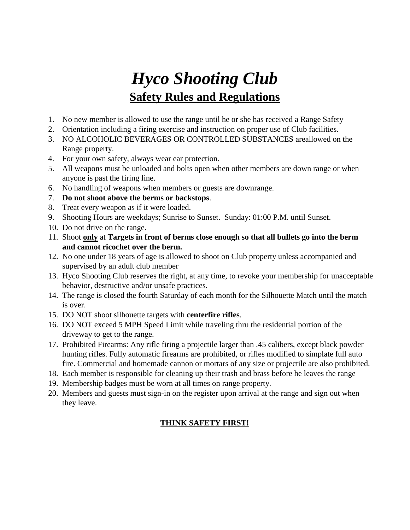## *Hyco Shooting Club* **Safety Rules and Regulations**

- 1. No new member is allowed to use the range until he or she has received a Range Safety
- 2. Orientation including a firing exercise and instruction on proper use of Club facilities.
- 3. NO ALCOHOLIC BEVERAGES OR CONTROLLED SUBSTANCES areallowed on the Range property.
- 4. For your own safety, always wear ear protection.
- 5. All weapons must be unloaded and bolts open when other members are down range or when anyone is past the firing line.
- 6. No handling of weapons when members or guests are downrange.
- 7. **Do not shoot above the berms or backstops**.
- 8. Treat every weapon as if it were loaded.
- 9. Shooting Hours are weekdays; Sunrise to Sunset. Sunday: 01:00 P.M. until Sunset.
- 10. Do not drive on the range.
- 11. Shoot **only** at **Targets in front of berms close enough so that all bullets go into the berm and cannot ricochet over the berm.**
- 12. No one under 18 years of age is allowed to shoot on Club property unless accompanied and supervised by an adult club member
- 13. Hyco Shooting Club reserves the right, at any time, to revoke your membership for unacceptable behavior, destructive and/or unsafe practices.
- 14. The range is closed the fourth Saturday of each month for the Silhouette Match until the match is over.
- 15. DO NOT shoot silhouette targets with **centerfire rifles**.
- 16. DO NOT exceed 5 MPH Speed Limit while traveling thru the residential portion of the driveway to get to the range.
- 17. Prohibited Firearms: Any rifle firing a projectile larger than .45 calibers, except black powder hunting rifles. Fully automatic firearms are prohibited, or rifles modified to simplate full auto fire. Commercial and homemade cannon or mortars of any size or projectile are also prohibited.
- 18. Each member is responsible for cleaning up their trash and brass before he leaves the range
- 19. Membership badges must be worn at all times on range property.
- 20. Members and guests must sign-in on the register upon arrival at the range and sign out when they leave.

### **THINK SAFETY FIRST!**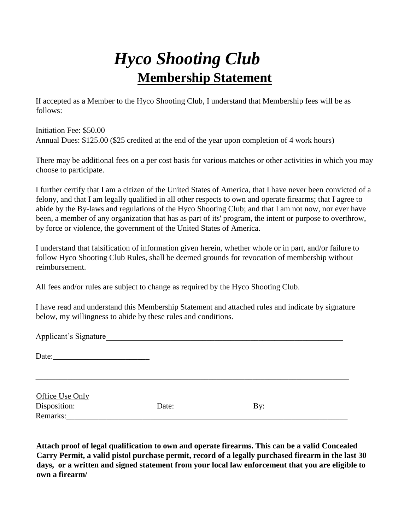# *Hyco Shooting Club* **Membership Statement**

If accepted as a Member to the Hyco Shooting Club, I understand that Membership fees will be as follows:

Initiation Fee: \$50.00 Annual Dues: \$125.00 (\$25 credited at the end of the year upon completion of 4 work hours)

There may be additional fees on a per cost basis for various matches or other activities in which you may choose to participate.

I further certify that I am a citizen of the United States of America, that I have never been convicted of a felony, and that I am legally qualified in all other respects to own and operate firearms; that I agree to abide by the By-laws and regulations of the Hyco Shooting Club; and that I am not now, nor ever have been, a member of any organization that has as part of its' program, the intent or purpose to overthrow, by force or violence, the government of the United States of America.

I understand that falsification of information given herein, whether whole or in part, and/or failure to follow Hyco Shooting Club Rules, shall be deemed grounds for revocation of membership without reimbursement.

All fees and/or rules are subject to change as required by the Hyco Shooting Club.

I have read and understand this Membership Statement and attached rules and indicate by signature below, my willingness to abide by these rules and conditions.

| Applicant's Signature    |       |     |  |  |  |
|--------------------------|-------|-----|--|--|--|
|                          |       |     |  |  |  |
| Office Use Only          |       |     |  |  |  |
| Disposition:<br>Remarks: | Date: | By: |  |  |  |

**Attach proof of legal qualification to own and operate firearms. This can be a valid Concealed Carry Permit, a valid pistol purchase permit, record of a legally purchased firearm in the last 30 days, or a written and signed statement from your local law enforcement that you are eligible to own a firearm/**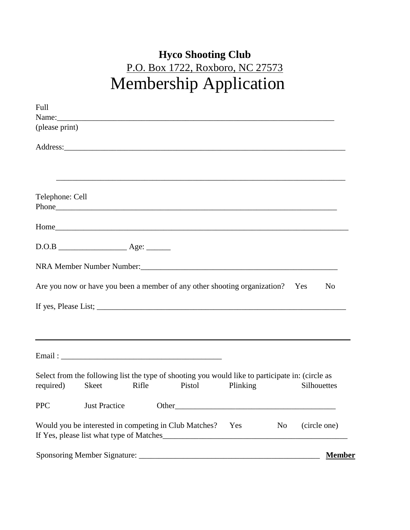## **Hyco Shooting Club** P.O. Box 1722, Roxboro, NC 27573 Membership Application

| Full            |                                                                                                                                                                                                                                   |       |        |        |          |                |                |
|-----------------|-----------------------------------------------------------------------------------------------------------------------------------------------------------------------------------------------------------------------------------|-------|--------|--------|----------|----------------|----------------|
| (please print)  |                                                                                                                                                                                                                                   |       |        |        |          |                |                |
|                 |                                                                                                                                                                                                                                   |       |        |        |          |                |                |
|                 |                                                                                                                                                                                                                                   |       |        |        |          |                |                |
|                 |                                                                                                                                                                                                                                   |       |        |        |          |                |                |
|                 |                                                                                                                                                                                                                                   |       |        |        |          |                |                |
| Telephone: Cell |                                                                                                                                                                                                                                   |       |        |        |          |                |                |
|                 |                                                                                                                                                                                                                                   |       |        |        |          |                |                |
|                 |                                                                                                                                                                                                                                   |       |        |        |          |                |                |
|                 |                                                                                                                                                                                                                                   |       |        |        |          |                |                |
|                 |                                                                                                                                                                                                                                   |       |        |        |          |                |                |
|                 | NRA Member Number Number:<br>1988 - Carl Manuel Alexander Number:<br>2008 - Carl Manuel Alexander Number:<br>2008 - Carl Manuel Alexander Number:<br>2008 - Carl Manuel Alexander Number:<br>2018 - Carl Manuel Alexander Number: |       |        |        |          |                |                |
|                 | Are you now or have you been a member of any other shooting organization? Yes                                                                                                                                                     |       |        |        |          |                | N <sub>0</sub> |
|                 |                                                                                                                                                                                                                                   |       |        |        |          |                |                |
|                 |                                                                                                                                                                                                                                   |       |        |        |          |                |                |
|                 |                                                                                                                                                                                                                                   |       |        |        |          |                |                |
|                 |                                                                                                                                                                                                                                   |       |        |        |          |                |                |
|                 |                                                                                                                                                                                                                                   |       |        |        |          |                |                |
|                 | Select from the following list the type of shooting you would like to participate in: (circle as                                                                                                                                  |       |        |        |          |                |                |
| required)       | <b>Skeet</b>                                                                                                                                                                                                                      | Rifle |        | Pistol | Plinking |                | Silhouettes    |
| <b>PPC</b>      | <b>Just Practice</b>                                                                                                                                                                                                              |       | Other_ |        |          |                |                |
|                 | Would you be interested in competing in Club Matches?                                                                                                                                                                             |       |        |        | Yes      | N <sub>0</sub> | (circle one)   |
|                 |                                                                                                                                                                                                                                   |       |        |        |          |                |                |
|                 |                                                                                                                                                                                                                                   |       |        |        |          |                | <b>Member</b>  |